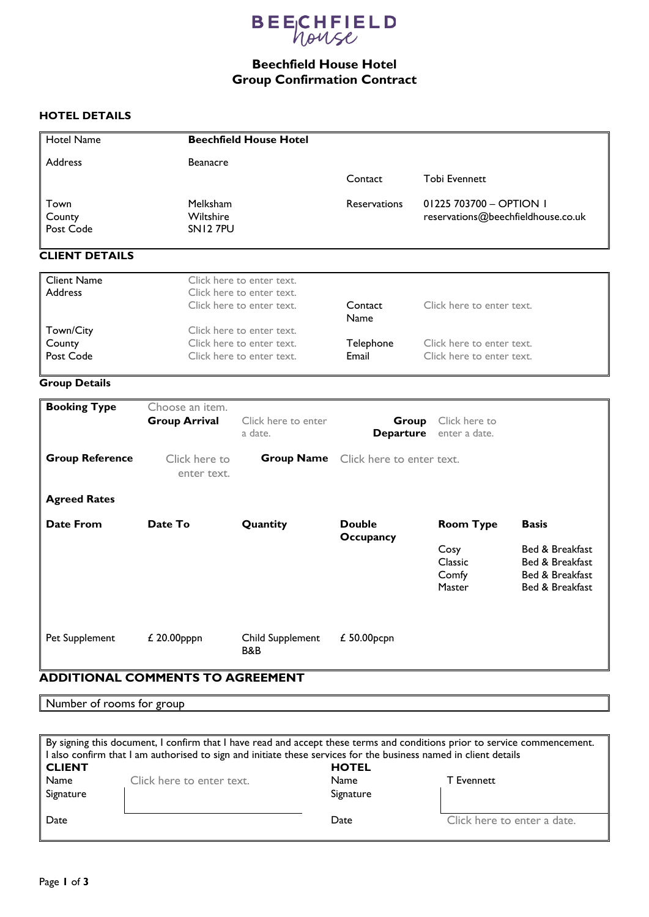

# **Beechfield House Hotel Group Confirmation Contract**

### **HOTEL DETAILS**

| <b>Hotel Name</b>                    |                                                                                     | <b>Beechfield House Hotel</b>      |                           |                                                               |                                                                          |
|--------------------------------------|-------------------------------------------------------------------------------------|------------------------------------|---------------------------|---------------------------------------------------------------|--------------------------------------------------------------------------|
| <b>Address</b>                       | <b>Beanacre</b>                                                                     |                                    |                           |                                                               |                                                                          |
|                                      |                                                                                     |                                    | Contact                   | <b>Tobi Evennett</b>                                          |                                                                          |
| Town<br>County<br>Post Code          | Melksham<br>Wiltshire<br>SN12 7PU                                                   |                                    |                           | 01225 703700 - OPTION 1<br>reservations@beechfieldhouse.co.uk |                                                                          |
| <b>CLIENT DETAILS</b>                |                                                                                     |                                    |                           |                                                               |                                                                          |
| <b>Client Name</b><br><b>Address</b> | Click here to enter text.<br>Click here to enter text.<br>Click here to enter text. |                                    | Contact<br><b>Name</b>    | Click here to enter text.                                     |                                                                          |
| Town/City<br>County<br>Post Code     | Click here to enter text.<br>Click here to enter text.<br>Click here to enter text. |                                    | Telephone<br>Email        | Click here to enter text.<br>Click here to enter text.        |                                                                          |
| <b>Group Details</b>                 |                                                                                     |                                    |                           |                                                               |                                                                          |
| <b>Booking Type</b>                  | Choose an item.<br><b>Group Arrival</b>                                             | Click here to enter<br>a date.     | Group                     | Click here to<br>Departure enter a date.                      |                                                                          |
| <b>Group Reference</b>               | Click here to<br>enter text.                                                        | <b>Group Name</b>                  | Click here to enter text. |                                                               |                                                                          |
| <b>Agreed Rates</b>                  |                                                                                     |                                    |                           |                                                               |                                                                          |
| <b>Date From</b>                     | Date To                                                                             | Quantity                           | <b>Double</b>             | <b>Room Type</b>                                              | <b>Basis</b>                                                             |
|                                      |                                                                                     |                                    | <b>Occupancy</b>          | Cosy<br>Classic<br>Comfy<br>Master                            | Bed & Breakfast<br>Bed & Breakfast<br>Bed & Breakfast<br>Bed & Breakfast |
| Pet Supplement                       | £ 20.00pppn                                                                         | Child Supplement<br><b>B&amp;B</b> | £ 50.00pcpn               |                                                               |                                                                          |

### **ADDITIONAL COMMENTS TO AGREEMENT**

Number of rooms for group

| By signing this document, I confirm that I have read and accept these terms and conditions prior to service commencement. |                           |              |                             |  |  |  |  |
|---------------------------------------------------------------------------------------------------------------------------|---------------------------|--------------|-----------------------------|--|--|--|--|
| I also confirm that I am authorised to sign and initiate these services for the business named in client details          |                           |              |                             |  |  |  |  |
| <b>CLIENT</b>                                                                                                             |                           | <b>HOTEL</b> |                             |  |  |  |  |
| Name                                                                                                                      | Click here to enter text. | Name         | <b>T</b> Evennett           |  |  |  |  |
| Signature                                                                                                                 |                           | Signature    |                             |  |  |  |  |
| Date                                                                                                                      |                           | Date         | Click here to enter a date. |  |  |  |  |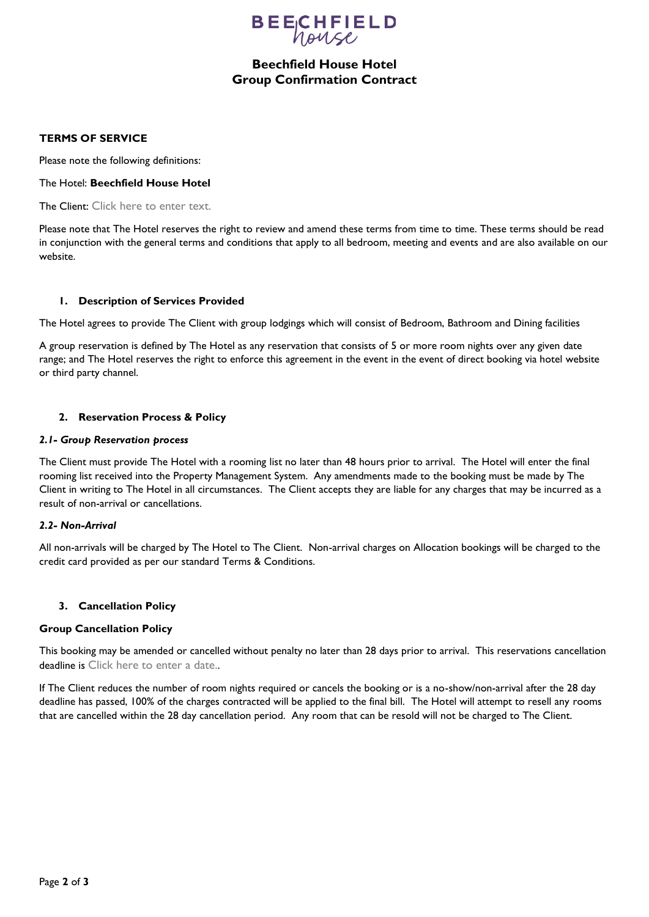

## **Beechfield House Hotel Group Confirmation Contract**

#### **TERMS OF SERVICE**

Please note the following definitions:

#### The Hotel: **Beechfield House Hotel**

The Client: Click here to enter text.

Please note that The Hotel reserves the right to review and amend these terms from time to time. These terms should be read in conjunction with the general terms and conditions that apply to all bedroom, meeting and events and are also available on our website.

#### **1. Description of Services Provided**

The Hotel agrees to provide The Client with group lodgings which will consist of Bedroom, Bathroom and Dining facilities

A group reservation is defined by The Hotel as any reservation that consists of 5 or more room nights over any given date range; and The Hotel reserves the right to enforce this agreement in the event in the event of direct booking via hotel website or third party channel.

#### **2. Reservation Process & Policy**

#### *2.1- Group Reservation process*

The Client must provide The Hotel with a rooming list no later than 48 hours prior to arrival. The Hotel will enter the final rooming list received into the Property Management System. Any amendments made to the booking must be made by The Client in writing to The Hotel in all circumstances. The Client accepts they are liable for any charges that may be incurred as a result of non-arrival or cancellations.

#### *2.2- Non-Arrival*

All non-arrivals will be charged by The Hotel to The Client. Non-arrival charges on Allocation bookings will be charged to the credit card provided as per our standard Terms & Conditions.

#### **3. Cancellation Policy**

#### **Group Cancellation Policy**

This booking may be amended or cancelled without penalty no later than 28 days prior to arrival. This reservations cancellation deadline is Click here to enter a date...

If The Client reduces the number of room nights required or cancels the booking or is a no-show/non-arrival after the 28 day deadline has passed, 100% of the charges contracted will be applied to the final bill. The Hotel will attempt to resell any rooms that are cancelled within the 28 day cancellation period. Any room that can be resold will not be charged to The Client.